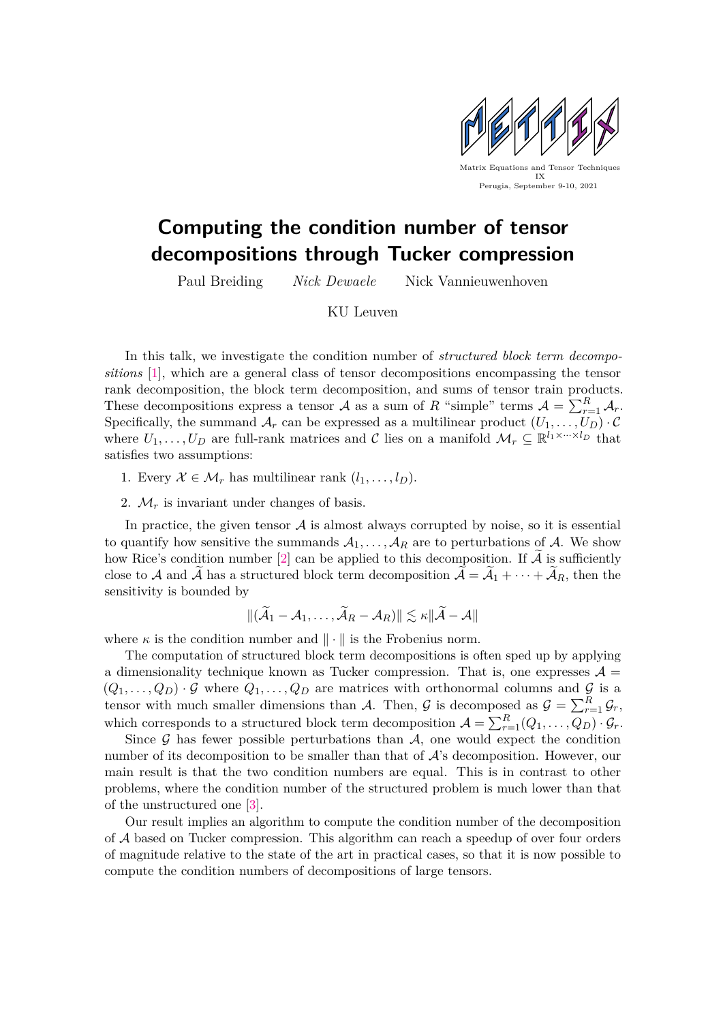

## **Computing the condition number of tensor decompositions through Tucker compression**

Paul Breiding *Nick Dewaele* Nick Vannieuwenhoven

KU Leuven

In this talk, we investigate the condition number of *structured block term decompositions* [\[1\]](#page-1-0), which are a general class of tensor decompositions encompassing the tensor rank decomposition, the block term decomposition, and sums of tensor train products. These decompositions express a tensor A as a sum of R "simple" terms  $A = \sum_{r=1}^{R} A_r$ . Specifically, the summand  $\mathcal{A}_r$  can be expressed as a multilinear product  $(U_1, \ldots, U_D) \cdot \mathcal{C}$ where  $U_1, \ldots, U_D$  are full-rank matrices and C lies on a manifold  $\mathcal{M}_r \subseteq \mathbb{R}^{l_1 \times \cdots \times l_D}$  that satisfies two assumptions:

- 1. Every  $\mathcal{X} \in \mathcal{M}_r$  has multilinear rank  $(l_1, \ldots, l_p)$ .
- 2.  $\mathcal{M}_r$  is invariant under changes of basis.

In practice, the given tensor  $A$  is almost always corrupted by noise, so it is essential to quantify how sensitive the summands  $A_1, \ldots, A_R$  are to perturbations of A. We show how Rice's condition number [\[2\]](#page-1-1) can be applied to this decomposition. If  $A$  is sufficiently close to A and A has a structured block term decomposition  $A = A_1 + \cdots + A_R$ , then the sensitivity is bounded by

$$
\|(\widetilde{\mathcal{A}}_1-\mathcal{A}_1,\ldots,\widetilde{\mathcal{A}}_R-\mathcal{A}_R)\|\lesssim \kappa\|\widetilde{\mathcal{A}}-\mathcal{A}\|
$$

where  $\kappa$  is the condition number and  $\|\cdot\|$  is the Frobenius norm.

The computation of structured block term decompositions is often sped up by applying a dimensionality technique known as Tucker compression. That is, one expresses  $\mathcal{A} =$  $(Q_1, \ldots, Q_D) \cdot \mathcal{G}$  where  $Q_1, \ldots, Q_D$  are matrices with orthonormal columns and  $\mathcal{G}$  is a tensor with much smaller dimensions than A. Then, G is decomposed as  $\mathcal{G} = \sum_{r=1}^{R} \mathcal{G}_r$ , which corresponds to a structured block term decomposition  $\mathcal{A} = \sum_{r=1}^{R} (Q_1, \ldots, Q_D) \cdot \mathcal{G}_r$ .

Since  $\mathcal G$  has fewer possible perturbations than  $\mathcal A$ , one would expect the condition number of its decomposition to be smaller than that of  $A$ 's decomposition. However, our main result is that the two condition numbers are equal. This is in contrast to other problems, where the condition number of the structured problem is much lower than that of the unstructured one [\[3\]](#page-1-2).

Our result implies an algorithm to compute the condition number of the decomposition of A based on Tucker compression. This algorithm can reach a speedup of over four orders of magnitude relative to the state of the art in practical cases, so that it is now possible to compute the condition numbers of decompositions of large tensors.